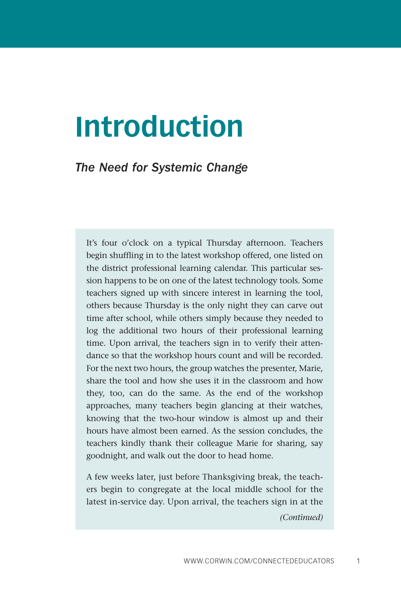# **Introduction**

#### *The Need for Systemic Change*

It's four o'clock on a typical Thursday afternoon. Teachers begin shuffling in to the latest workshop offered, one listed on the district professional learning calendar. This particular session happens to be on one of the latest technology tools. Some teachers signed up with sincere interest in learning the tool, others because Thursday is the only night they can carve out time after school, while others simply because they needed to log the additional two hours of their professional learning time. Upon arrival, the teachers sign in to verify their attendance so that the workshop hours count and will be recorded. For the next two hours, the group watches the presenter, Marie, share the tool and how she uses it in the classroom and how they, too, can do the same. As the end of the workshop approaches, many teachers begin glancing at their watches, knowing that the two-hour window is almost up and their hours have almost been earned. As the session concludes, the teachers kindly thank their colleague Marie for sharing, say goodnight, and walk out the door to head home.

A few weeks later, just before Thanksgiving break, the teachers begin to congregate at the local middle school for the latest in-service day. Upon arrival, the teachers sign in at the

*(Continued)*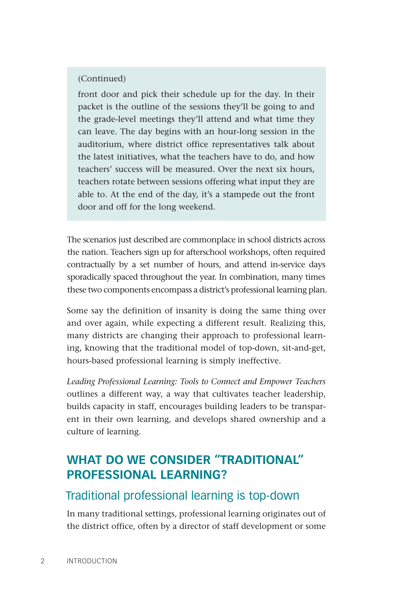#### (Continued)

front door and pick their schedule up for the day. In their packet is the outline of the sessions they'll be going to and the grade-level meetings they'll attend and what time they can leave. The day begins with an hour-long session in the auditorium, where district office representatives talk about the latest initiatives, what the teachers have to do, and how teachers' success will be measured. Over the next six hours, teachers rotate between sessions offering what input they are able to. At the end of the day, it's a stampede out the front door and off for the long weekend.

The scenarios just described are commonplace in school districts across the nation. Teachers sign up for afterschool workshops, often required contractually by a set number of hours, and attend in-service days sporadically spaced throughout the year. In combination, many times these two components encompass a district's professional learning plan.

Some say the definition of insanity is doing the same thing over and over again, while expecting a different result. Realizing this, many districts are changing their approach to professional learning, knowing that the traditional model of top-down, sit-and-get, hours-based professional learning is simply ineffective.

*Leading Professional Learning: Tools to Connect and Empower Teachers* outlines a different way, a way that cultivates teacher leadership, builds capacity in staff, encourages building leaders to be transparent in their own learning, and develops shared ownership and a culture of learning.

## **WHAT DO WE CONSIDER "TRADITIONAL" PROFESSIONAL LEARNING?**

### Traditional professional learning is top-down

In many traditional settings, professional learning originates out of the district office, often by a director of staff development or some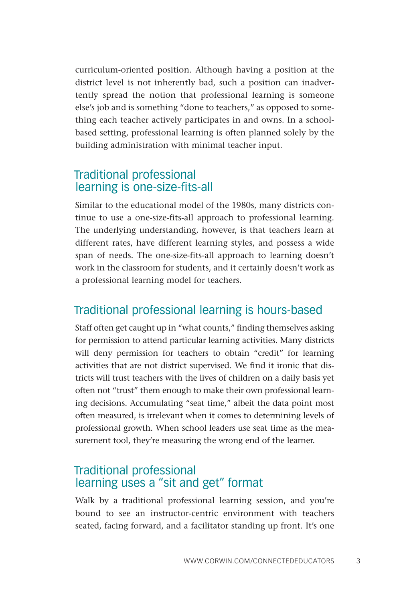curriculum-oriented position. Although having a position at the district level is not inherently bad, such a position can inadvertently spread the notion that professional learning is someone else's job and is something "done to teachers," as opposed to something each teacher actively participates in and owns. In a schoolbased setting, professional learning is often planned solely by the building administration with minimal teacher input.

#### Traditional professional learning is one-size-fits-all

Similar to the educational model of the 1980s, many districts continue to use a one-size-fits-all approach to professional learning. The underlying understanding, however, is that teachers learn at different rates, have different learning styles, and possess a wide span of needs. The one-size-fits-all approach to learning doesn't work in the classroom for students, and it certainly doesn't work as a professional learning model for teachers.

### Traditional professional learning is hours-based

Staff often get caught up in "what counts," finding themselves asking for permission to attend particular learning activities. Many districts will deny permission for teachers to obtain "credit" for learning activities that are not district supervised. We find it ironic that districts will trust teachers with the lives of children on a daily basis yet often not "trust" them enough to make their own professional learning decisions. Accumulating "seat time," albeit the data point most often measured, is irrelevant when it comes to determining levels of professional growth. When school leaders use seat time as the measurement tool, they're measuring the wrong end of the learner.

#### Traditional professional learning uses a "sit and get" format

Walk by a traditional professional learning session, and you're bound to see an instructor-centric environment with teachers seated, facing forward, and a facilitator standing up front. It's one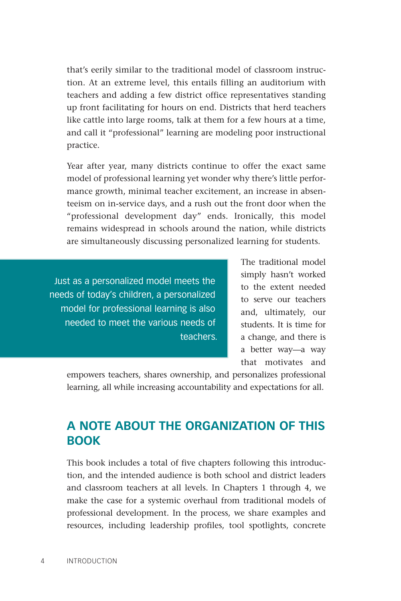that's eerily similar to the traditional model of classroom instruction. At an extreme level, this entails filling an auditorium with teachers and adding a few district office representatives standing up front facilitating for hours on end. Districts that herd teachers like cattle into large rooms, talk at them for a few hours at a time, and call it "professional" learning are modeling poor instructional practice.

Year after year, many districts continue to offer the exact same model of professional learning yet wonder why there's little performance growth, minimal teacher excitement, an increase in absenteeism on in-service days, and a rush out the front door when the "professional development day" ends. Ironically, this model remains widespread in schools around the nation, while districts are simultaneously discussing personalized learning for students.

Just as a personalized model meets the needs of today's children, a personalized model for professional learning is also needed to meet the various needs of teachers. The traditional model simply hasn't worked to the extent needed to serve our teachers and, ultimately, our students. It is time for a change, and there is a better way—a way that motivates and

empowers teachers, shares ownership, and personalizes professional learning, all while increasing accountability and expectations for all.

### **A NOTE ABOUT THE ORGANIZATION OF THIS BOOK**

This book includes a total of five chapters following this introduction, and the intended audience is both school and district leaders and classroom teachers at all levels. In Chapters 1 through 4, we make the case for a systemic overhaul from traditional models of professional development. In the process, we share examples and resources, including leadership profiles, tool spotlights, concrete